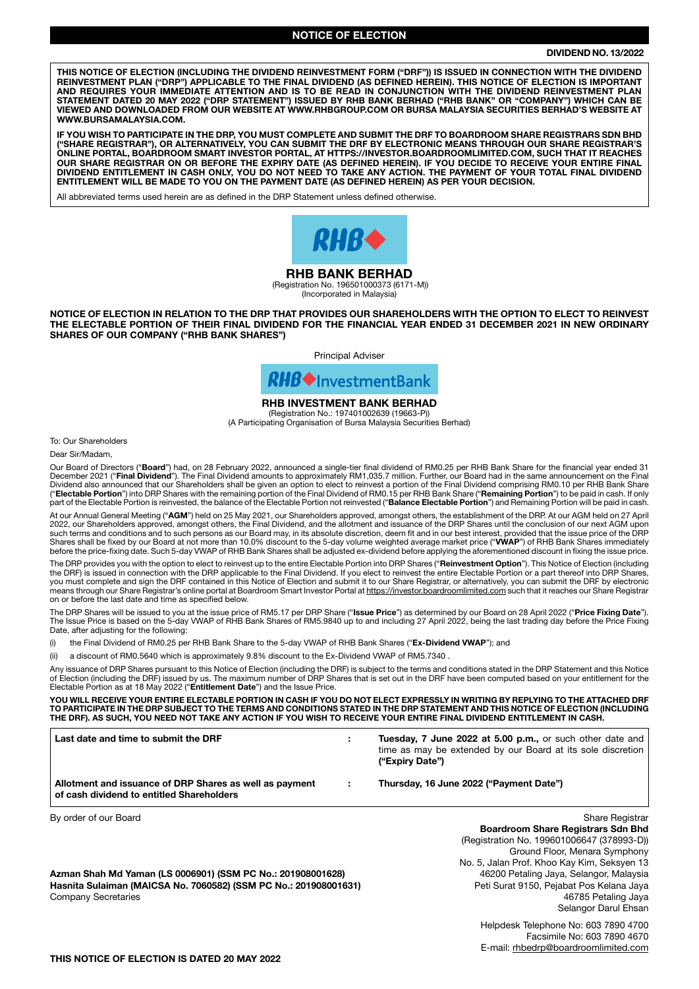### NOTICE OF ELECTION

#### DIVIDEND NO. 13/2022

THIS NOTICE OF ELECTION (INCLUDING THE DIVIDEND REINVESTMENT FORM ("DRF")) IS ISSUED IN CONNECTION WITH THE DIVIDEND REINVESTMENT PLAN ("DRP") APPLICABLE TO THE FINAL DIVIDEND (AS DEFINED HEREIN). THIS NOTICE OF ELECTION IS IMPORTANT AND REQUIRES YOUR IMMEDIATE ATTENTION AND IS TO BE READ IN CONJUNCTION WITH THE DIVIDEND REINVESTMENT PLAN STATEMENT DATED 20 MAY 2022 ("DRP STATEMENT") ISSUED BY RHB BANK BERHAD ("RHB BANK" OR "COMPANY") WHICH CAN BE VIEWED AND DOWNLOADED FROM OUR WEBSITE AT WWW.RHBGROUP.COM OR BURSA MALAYSIA SECURITIES BERHAD'S WEBSITE AT WWW.BURSAMALAYSIA.COM.

IF YOU WISH TO PARTICIPATE IN THE DRP, YOU MUST COMPLETE AND SUBMIT THE DRF TO BOARDROOM SHARE REGISTRARS SDN BHD ("SHARE REGISTRAR"), OR ALTERNATIVELY, YOU CAN SUBMIT THE DRF BY ELECTRONIC MEANS THROUGH OUR SHARE REGISTRAR'S ONLINE PORTAL, BOARDROOM SMART INVESTOR PORTAL, AT HTTPS://INVESTOR.BOARDROOMLIMITED.COM, SUCH THAT IT REACHES OUR SHARE REGISTRAR ON OR BEFORE THE EXPIRY DATE (AS DEFINED HEREIN). IF YOU DECIDE TO RECEIVE YOUR ENTIRE FINAL DIVIDEND ENTITLEMENT IN CASH ONLY, YOU DO NOT NEED TO TAKE ANY ACTION. THE PAYMENT OF YOUR TOTAL FINAL DIVIDEND ENTITLEMENT WILL BE MADE TO YOU ON THE PAYMENT DATE (AS DEFINED HEREIN) AS PER YOUR DECISION.

All abbreviated terms used herein are as defined in the DRP Statement unless defined otherwise.



### RHB BANK BERHAD

 (Registration No. 196501000373 (6171-M)) (Incorporated in Malaysia)

NOTICE OF ELECTION IN RELATION TO THE DRP THAT PROVIDES OUR SHAREHOLDERS WITH THE OPTION TO ELECT TO REINVEST THE ELECTABLE PORTION OF THEIR FINAL DIVIDEND FOR THE FINANCIAL YEAR ENDED 31 DECEMBER 2021 IN NEW ORDINARY SHARES OF OUR COMPANY ("RHB BANK SHARES")

Principal Adviser



# RHB INVESTMENT BANK BERHAD

(Registration No.: 197401002639 (19663-P)) (A Participating Organisation of Bursa Malaysia Securities Berhad)

To: Our Shareholders

Dear Sir/Madam,

Our Board of Directors ("Board") had, on 28 February 2022, announced a single-tier final dividend of RM0.25 per RHB Bank Share for the financial year ended 31 December 2021 ("**Final Dividend**"). The Final Dividend amounts to approximately RM1,035.7 million. Further, our Board had in the same announcement on the Final<br>Dividend also announced that our Shareholders shall be given a part of the Electable Portion is reinvested, the balance of the Electable Portion not reinvested ("Balance Electable Portion") and Remaining Portion will be paid in cash.

At our Annual General Meeting ("**AGM**") held on 25 May 2021, our Shareholders approved, amongst others, the establishment of the DRP. At our AGM held on 27 April<br>2022, our Shareholders approved, amongst others, the Final D such terms and conditions and to such persons as our Board may, in its absolute discretion, deem fit and in our best interest, provided that the issue price of the DRP Shares shall be fixed by our Board at not more than 10.0% discount to the 5-day volume weighted average market price ("**VWAP**") of RHB Bank Shares immediately<br>before the price-fixing date. Such 5-day VWAP of RHB Bank Share

The DRP provides you with the option to elect to reinvest up to the entire Electable Portion into DRP Shares ("Reinvestment Option"). This Notice of Election (including the DRF) is issued in connection with the DRP applicable to the Final Dividend. If you elect to reinvest the entire Electable Portion or a part thereof into DRP Shares, you must complete and sign the DRF contained in this Notice of Election and submit it to our Share Registrar, or alternatively, you can submit the DRF by electronic<br>means through our Share Registrar's online portal at Boar on or before the last date and time as specified below.

The DRP Shares will be issued to you at the issue price of RM5.17 per DRP Share ("Issue Price") as determined by our Board on 28 April 2022 ("Price Fixing Date"). The Issue Price is based on the 5-day VWAP of RHB Bank Shares of RM5.9840 up to and including 27 April 2022, being the last trading day before the Price Fixing Date, after adjusting for the following:

(i) the Final Dividend of RM0.25 per RHB Bank Share to the 5-day VWAP of RHB Bank Shares ("Ex-Dividend VWAP"); and

(ii) a discount of RM0.5640 which is approximately 9.8% discount to the Ex-Dividend VWAP of RM5.7340 .

Any issuance of DRP Shares pursuant to this Notice of Election (including the DRF) is subject to the terms and conditions stated in the DRP Statement and this Notice of Election (including the DRF) issued by us. The maximum number of DRP Shares that is set out in the DRF have been computed based on your entitlement for the Electable Portion as at 18 May 2022 ("Entitlement Date") and the Issue Price.

YOU WILL RECEIVE YOUR ENTIRE ELECTABLE PORTION IN CASH IF YOU DO NOT ELECT EXPRESSLY IN WRITING BY REPLYING TO THE ATTACHED DRF TO PARTICIPATE IN THE DRP SUBJECT TO THE TERMS AND CONDITIONS STATED IN THE DRP STATEMENT AND THIS NOTICE OF ELECTION (INCLUDING THE DRF). AS SUCH, YOU NEED NOT TAKE ANY ACTION IF YOU WISH TO RECEIVE YOUR ENTIRE FINAL DIVIDEND ENTITLEMENT IN CASH.

Last date and time to submit the DRF : Tuesday, 7 June 2022 at 5.00 p.m., or such other date and time as may be extended by our Board at its sole discretion ("Expiry Date") Allotment and issuance of DRP Shares as well as payment : Thursday, 16 June 2022 ("Payment Date") of cash dividend to entitled Shareholders By order of our Board Share Registrary and Share Registrary and Share Registrary and Share Registrary and Share Registrary and Share Registrary and Share Registrary and Share Registrary and Share Registrary and Share Regis Boardroom Share Registrars Sdn Bhd (Registration No. 199601006647 (378993-D)) Ground Floor, Menara Symphony No. 5, Jalan Prof. Khoo Kay Kim, Seksyen 13 Azman Shah Md Yaman (LS 0006901) (SSM PC No.: 201908001628) 46200 Petaling Jaya, Selangor, Malaysia

Hasnita Sulaiman (MAICSA No. 7060582) (SSM PC No.: 201908001631) Peti Surat 9150, Pejabat Pos Kelana Jaya Company Secretaries 46785 Petaling Jaya

Selangor Darul Ehsan

Helpdesk Telephone No: 603 7890 4700 Facsimile No: 603 7890 4670 E-mail: rhbedrp@boardroomlimited.com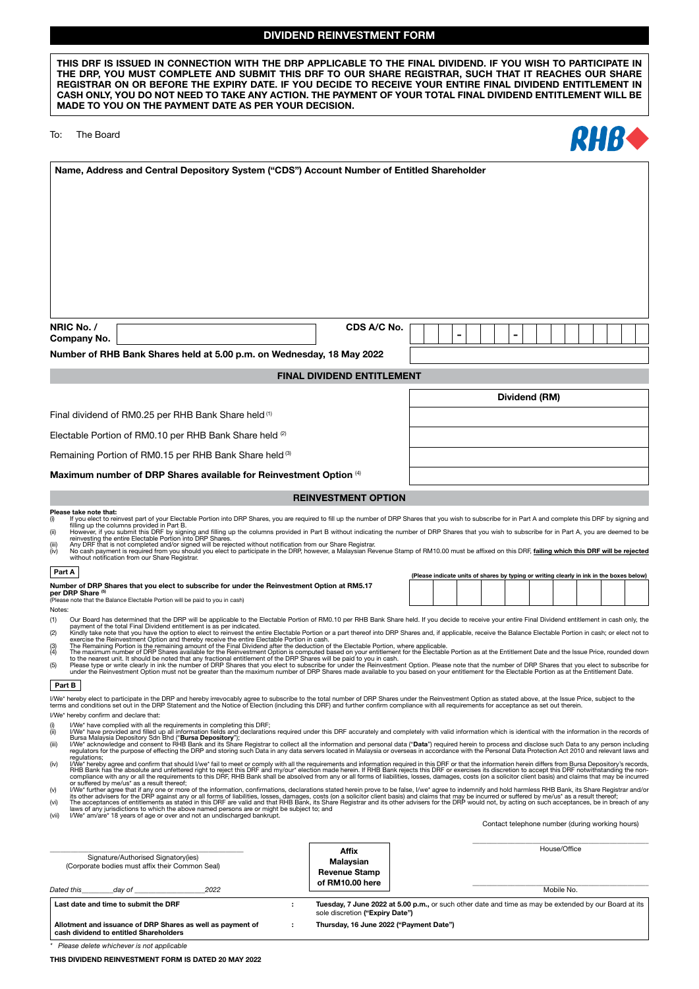## DIVIDEND REINVESTMENT FORM

| MADE TO YOU ON THE PAYMENT DATE AS PER YOUR DECISION.                                                         |  |
|---------------------------------------------------------------------------------------------------------------|--|
| CASH ONLY. YOU DO NOT NEED TO TAKE ANY ACTION. THE PAYMENT OF YOUR TOTAL FINAL DIVIDEND ENTITLEMENT WILL BE   |  |
| REGISTRAR ON OR BEFORE THE EXPIRY DATE. IF YOU DECIDE TO RECEIVE YOUR ENTIRE FINAL DIVIDEND ENTITLEMENT IN    |  |
| THE DRP. YOU MUST COMPLETE AND SUBMIT THIS DRF TO OUR SHARE REGISTRAR. SUCH THAT IT REACHES OUR SHARE         |  |
| THIS DRF IS ISSUED IN CONNECTION WITH THE DRP APPLICABLE TO THE FINAL DIVIDEND. IF YOU WISH TO PARTICIPATE IN |  |
|                                                                                                               |  |

|  | The Board |  | To: |
|--|-----------|--|-----|
|--|-----------|--|-----|

| O. | The Board                                                                                  | <b>КНВФ</b> |
|----|--------------------------------------------------------------------------------------------|-------------|
|    | Name, Address and Central Depository System ("CDS") Account Number of Entitled Shareholder |             |
|    |                                                                                            |             |
|    |                                                                                            |             |
|    |                                                                                            |             |

Dividend (RM)

| NRIC No.<br>Company No.                                               | CDS A/C No. |  |  |  |  |  |  |  |  |  |
|-----------------------------------------------------------------------|-------------|--|--|--|--|--|--|--|--|--|
| Number of RHB Bank Shares held at 5.00 p.m. on Wednesday, 18 May 2022 |             |  |  |  |  |  |  |  |  |  |

### FINAL DIVIDEND ENTITLEMENT

Final dividend of RM0.25 per RHB Bank Share held (1)

Electable Portion of RM0.10 per RHB Bank Share held (2)

Remaining Portion of RM0.15 per RHB Bank Share held (3)

Maximum number of DRP Shares available for Reinvestment Option (4)

#### REINVESTMENT OPTION

# **Please take note that:**<br>(i) If you elect to re

- Throu elect to reinvest part of your Electable Portion into DRP Shares, you are required to fill up the number of DRP Shares that you wish to subscribe for in Part A and complete this DRF by signing and and sing and the co
- 
- filling up the columns provided in Part B.<br>(ii) However, if you submit this DRF by signing and filling up the columns provided in Part B without indicating the number of DRP Shares that you wish to subscribe for in Part A,

# Part A (Please indicate units of shares by typing or writing clearly in ink in the boxes below)

| Number of DRP Shares that you elect to subscribe for under the Reinvestment Option at RM5.17<br>per DRP Share (5) |
|-------------------------------------------------------------------------------------------------------------------|
| (Please note that the Balance Electable Portion will be paid to you in cash)                                      |

Notes:

- 
- 
- 
- 20 par Board has determined that the DRP will be applicable to the Electable Portion of RM0.10 per RHB Bank Share held. If you decide to receive your entire Final Dividend entitlement in cash only, the<br>22 payment of the to
- 

#### Part **B**

I/We\* hereby elect to participate in the DRP and hereby irrevocably agree to subscribe to the total number of DRP Shares under the Reinvestment Option as stated above, at the Issue Price, subject to the<br>terms and condition

I/We\* hereby confirm and declare that:

- 
- (i) Ww<sup>s</sup> have complied with all the requirements in completing this DRF;<br>(ii) We' have provided and filled up all information fields and declarations required under this DRF accurately and completely with valid informatio
- 
- regulations;<br>(iv) I/We\* hereby agree and confirm that should I/we\* fail to meet or comply with all the requirements and information required in this DRF or that the information herein differs from Bursa Depository's record (v) I/We\* further agree that if any one or more of the information, confirmations, declarations stated herein prove to be false, I/we\* agree to indemnify and hold harmless RHB Bank, its Share Registrar and/or
- its other advisers for the DRP against any or all forms of liabilities, losses, damages, costs (on a solicitor client basis) and claims that may be incurred or suffered by me/us\* as a result thereof;<br>(vi) The acceptances
- 

Contact telephone number (during working hours)

| Signature/Authorised Signatory(ies)<br>(Corporate bodies must affix their Common Seal)<br>2022<br>Dated this<br>dav of | <b>Affix</b><br>Malavsian<br><b>Revenue Stamp</b><br>of RM10.00 here | House/Office<br>Mobile No.                                                                            |
|------------------------------------------------------------------------------------------------------------------------|----------------------------------------------------------------------|-------------------------------------------------------------------------------------------------------|
| Last date and time to submit the DRF                                                                                   | sole discretion ("Expiry Date")                                      | Tuesday, 7 June 2022 at 5.00 p.m., or such other date and time as may be extended by our Board at its |
| Allotment and issuance of DRP Shares as well as payment of<br>cash dividend to entitled Shareholders                   | Thursday, 16 June 2022 ("Payment Date")                              |                                                                                                       |

*\* Please delete whichever is not applicable*

THIS DIVIDEND REINVESTMENT FORM IS DATED 20 MAY 2022